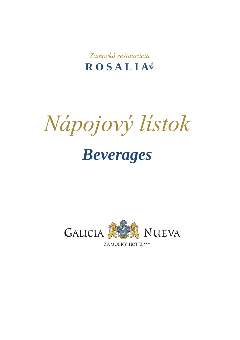Zámocká reštaurácia ROSALIA

Nápojový lístok **Beverages** 

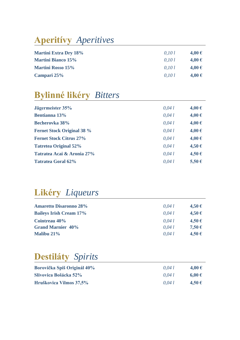# **Aperitívy** *Aperitives*

| <b>Martini Extra Dry 18%</b> | 0,10 l | 4,00 € |
|------------------------------|--------|--------|
| <b>Martini Bianco 15%</b>    | 0.10 l | 4,00 € |
| <b>Martini Rosso 15%</b>     | 0.10 l | 4,00 € |
| Campari 25%                  | 0.10 l | 4,00 € |

# **Bylinné likéry** *Bitters*

| Jägermeister 35%                  | 0,041  | 4,00 € |
|-----------------------------------|--------|--------|
| <b>Bentianna</b> 13%              | 0,041  | 4,00 € |
| <b>Becherovka 38%</b>             | 0,041  | 4,00 € |
| <b>Fernet Stock Original 38 %</b> | 0.04 l | 4,00 € |
| <b>Fernet Stock Citrus 27%</b>    | 0,041  | 4,00€  |
| <b>Tatretea Original 52%</b>      | 0.04 l | 4,50€  |
| Tatratea Acai & Aronia 27%        | 0.04 l | 4,50€  |
| <b>Tatratea Goral 62%</b>         | 0.041  | 5,50 € |

### **Likéry** *Liqueurs*

| <b>Amaretto Disaronno 28%</b>  | 0.04l  | 4,50€ |
|--------------------------------|--------|-------|
| <b>Baileys Irish Cream 17%</b> | 0.04 l | 4,50€ |
| Cointreau 40%                  | 0.04 l | 4,50€ |
| <b>Grand Marnier 40%</b>       | 0.04 l | 7,50€ |
| <b>Malibu 21%</b>              | 0.041  | 4,50€ |
|                                |        |       |

#### **Destiláty** *Spirits*

| Borovička Spiš Originál 40% | 0.041 | 4,00 € |
|-----------------------------|-------|--------|
| Slivovica Bošácka 52%       | 0.041 | 6,00€  |
| Hruškovica Vilmos 37,5%     | 0.041 | 4,50€  |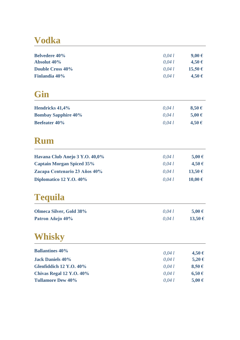# **Vodka**

| <b>Belvedere 40%</b> | 0,041 | 9,00 € |
|----------------------|-------|--------|
| <b>Absolut 40%</b>   | 0,041 | 4,50€  |
| Double Cross 40%     | 0.041 | 15,50€ |
| <b>Finlandia 40%</b> | 0,041 | 4,50€  |
| Gin                  |       |        |

| <b>Hendricks 41,4%</b>     | 0.041  | 8,50€ |
|----------------------------|--------|-------|
| <b>Bombay Sapphire 40%</b> | 0.041  | 5,00€ |
| <b>Beefeater 40%</b>       | 0.04 l | 4,50€ |

### **Rum**

| Havana Club Anejo 3 Y.O. 40,0%   | 0.04 l | 5,00€  |
|----------------------------------|--------|--------|
| <b>Captain Morgan Spiced 35%</b> | 0.04 l | 4,50 € |
| Zacapa Centenario 23 Años 40%    | 0.04 l | 13,50€ |
| Diplomatico 12 Y.O. 40%          | 0.041  | 10,00€ |

# **Tequila**

| <b>Olmeca Silver, Gold 38%</b> | 0.04 l | $5.00 \in$ |
|--------------------------------|--------|------------|
| Patron Añejo 40%               | 0.041  | 13,50€     |

# **Whisky**

|        | 4,50€  |
|--------|--------|
| 0.04 l | 5,20€  |
| 0.04 l | 8,50€  |
| 0.04 l | 6,50€  |
| 0.04 l | 5,00 € |
|        | 0.04 l |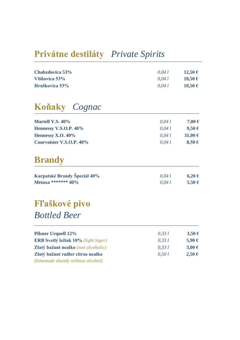### **Privátne destiláty** *Private Spirits*

| Chabzdovica 53% | 0.041 | 12,50 € |
|-----------------|-------|---------|
| Višňovica 53%   | 0.041 | 10,50 € |
| Hruškovica 53%  | 0.041 | 10,50 € |

# **Koňaky** *Cognac*

| <b>Martell V.S. 40%</b>  | 0.04 l | 7,00 €           |
|--------------------------|--------|------------------|
| Hennessy V.S.O.P. 40%    | 0.04l  | 9,50€            |
| Hennessy X.O. $40\%$     | 0.041  | 31,00 $\epsilon$ |
| Courvoisier V.S.O.P. 40% | 0.041  | 8,50€            |

#### **Brandy**

| Karpatské Brandy Špeciál 40% | 0.041 | 6,20€ |
|------------------------------|-------|-------|
| Metaxa ******* $40\%$        | 0.041 | 5,50€ |

# **Fľaškové pivo**  *Bottled Beer*

| <b>Pilsner Urquell 12%</b>                 | 0.33 l | 3,50€      |
|--------------------------------------------|--------|------------|
| <b>ERB Svetlý ležiak 10%</b> (light lager) | 0.33 l | 5,90€      |
| <b>Zlatý bažant nealko</b> (non alcoholic) | 0.33 l | $3,00 \in$ |
| Zlatý bažant radler citrus nealko          | 0,50 l | 2,50€      |
| (lemonade shandy without alcohol)          |        |            |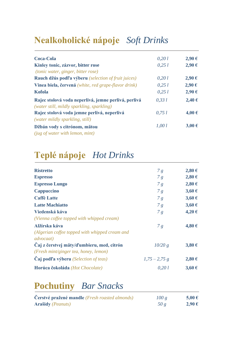# **Nealkoholické nápoje** *Soft Drinks*

| <b>Coca-Cola</b>                                                                                   | 0,201 | 2,90€      |
|----------------------------------------------------------------------------------------------------|-------|------------|
| Kinley tonic, zázvor, bitter rose                                                                  | 0,251 | 2,90€      |
| <i>(tonic water, ginger, bitter rose)</i>                                                          |       |            |
| Rauch džús podľa výberu (selection of fruit juices)                                                | 0,201 | 2,90€      |
| Vinea biela, červená (white, red grape-flavor drink)                                               | 0.251 | 2,90€      |
| <b>Kofola</b>                                                                                      | 0.251 | 2,90€      |
| Rajec stolová voda neperlivá, jemne perlivá, perlivá<br>(water still, mildly sparkling, sparkling) | 0.331 | 2,40€      |
| Rajec stolová voda jemne perlivá, neperlivá                                                        | 0,751 | 4,00€      |
| (water mildly sparkling, still)                                                                    |       |            |
| Džbán vody s citrónom, mätou                                                                       | 1,00l | $3,00 \in$ |
| (jug of water with lemon, mint)                                                                    |       |            |

# **Teplé nápoje** *Hot Drinks*

| <b>Ristretto</b>                                                    | 7g             | 2,80€  |
|---------------------------------------------------------------------|----------------|--------|
| <b>Espresso</b>                                                     | 7g             | 2,80€  |
| <b>Espresso Lungo</b>                                               | 7g             | 2,80€  |
| <b>Cappuccino</b>                                                   | 7g             | 3,60€  |
| <b>Caffè Latte</b>                                                  | 7g             | 3,60€  |
| <b>Latte Machiatto</b>                                              | 7g             | 3,60€  |
| Viedenská káva                                                      | 7g             | 4,20€  |
| (Vienna coffee topped with whipped cream)                           |                |        |
| Alžírska káva                                                       | 7g             | 4,80 € |
| (Algerian coffee topped with whipped cream and<br><i>advocaat</i> ) |                |        |
| Čaj z čerstvej mäty/d'umbieru, med, citrón                          | 10/20 g        | 3,80€  |
| (Fresh mint/ginger tea, honey, lemon)                               |                |        |
| Caj podľa výberu (Selection of teas)                                | $1,75 - 2,75g$ | 2,80€  |
| Horúca čokoláda (Hot Chocolate)                                     | 0.201          | 3,60€  |

# **Pochutiny** *Bar Snacks*

| Cerstvé pražené mandle ( <i>Fresh roasted almonds</i> ) | 100 g | 5,00€ |
|---------------------------------------------------------|-------|-------|
| <b>Arašidy</b> ( <i>Peanuts</i> )                       | 50g   | 2,90€ |